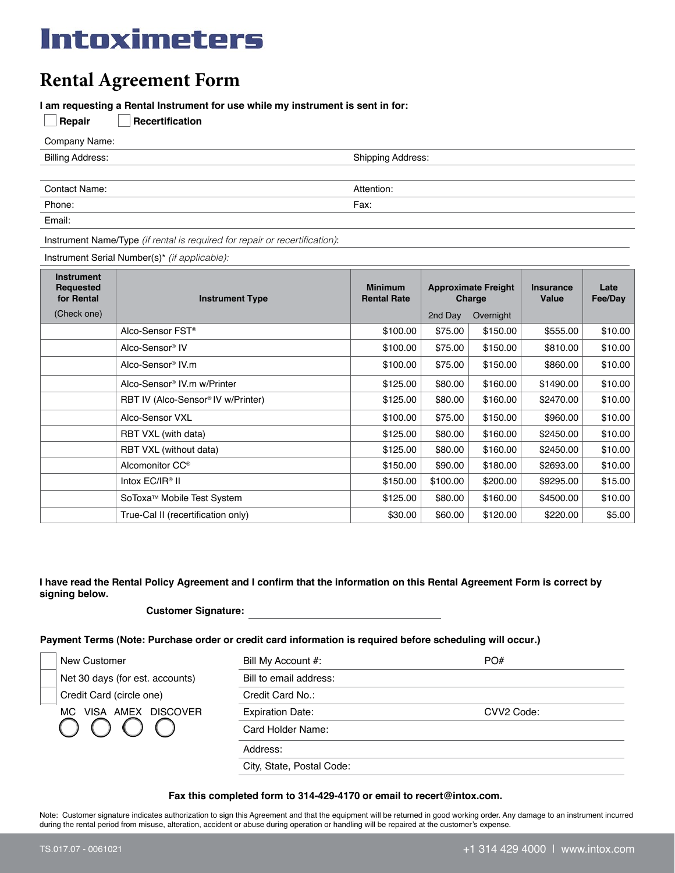# Intoximeters

# **Rental Agreement Form**

**I am requesting a Rental Instrument for use while my instrument is sent in for:** 

| Repair<br>Recertification |                          |
|---------------------------|--------------------------|
| Company Name:             |                          |
| <b>Billing Address:</b>   | <b>Shipping Address:</b> |
|                           |                          |
| <b>Contact Name:</b>      | Attention:               |
| Phone:                    | Fax:                     |
| Email:                    |                          |

Instrument Name/Type *(if rental is required for repair or recertification)*:

Instrument Serial Number(s)\* *(if applicable):*

| <b>Instrument</b><br><b>Requested</b><br>for Rental | <b>Instrument Type</b>                         | <b>Minimum</b><br><b>Rental Rate</b> | <b>Approximate Freight</b><br>Charge |           | Insurance<br>Value | Late<br>Fee/Day |
|-----------------------------------------------------|------------------------------------------------|--------------------------------------|--------------------------------------|-----------|--------------------|-----------------|
| (Check one)                                         |                                                |                                      | 2nd Day                              | Overnight |                    |                 |
|                                                     | Alco-Sensor FST <sup>®</sup>                   | \$100.00                             | \$75.00                              | \$150.00  | \$555.00           | \$10.00         |
|                                                     | Alco-Sensor <sup>®</sup> IV                    | \$100.00                             | \$75.00                              | \$150.00  | \$810.00           | \$10.00         |
|                                                     | Alco-Sensor <sup>®</sup> IV.m                  | \$100.00                             | \$75.00                              | \$150.00  | \$860.00           | \$10.00         |
|                                                     | Alco-Sensor <sup>®</sup> IV.m w/Printer        | \$125.00                             | \$80.00                              | \$160.00  | \$1490.00          | \$10.00         |
|                                                     | RBT IV (Alco-Sensor <sup>®</sup> IV w/Printer) | \$125.00                             | \$80.00                              | \$160.00  | \$2470.00          | \$10.00         |
|                                                     | Alco-Sensor VXL                                | \$100.00                             | \$75.00                              | \$150.00  | \$960.00           | \$10.00         |
|                                                     | RBT VXL (with data)                            | \$125.00                             | \$80.00                              | \$160.00  | \$2450.00          | \$10.00         |
|                                                     | RBT VXL (without data)                         | \$125.00                             | \$80.00                              | \$160.00  | \$2450.00          | \$10.00         |
|                                                     | Alcomonitor CC <sup>®</sup>                    | \$150.00                             | \$90.00                              | \$180.00  | \$2693.00          | \$10.00         |
|                                                     | Intox $EC/IR^{\circ}$ II                       | \$150.00                             | \$100.00                             | \$200.00  | \$9295.00          | \$15.00         |
|                                                     | SoToxa™ Mobile Test System                     | \$125.00                             | \$80.00                              | \$160.00  | \$4500.00          | \$10.00         |
|                                                     | True-Cal II (recertification only)             | \$30.00                              | \$60.00                              | \$120.00  | \$220.00           | \$5.00          |

# **I have read the Rental Policy Agreement and I confirm that the information on this Rental Agreement Form is correct by signing below.**

### **Customer Signature:**

# **Payment Terms (Note: Purchase order or credit card information is required before scheduling will occur.)**

|                                 | New Customer             | Bill My Account #:        | PO#        |
|---------------------------------|--------------------------|---------------------------|------------|
| Net 30 days (for est. accounts) |                          | Bill to email address:    |            |
|                                 | Credit Card (circle one) | Credit Card No.:          |            |
| VISA AMEX DISCOVER<br>MC.       |                          | <b>Expiration Date:</b>   | CVV2 Code: |
|                                 |                          | Card Holder Name:         |            |
|                                 |                          | Address:                  |            |
|                                 |                          | City, State, Postal Code: |            |

### **Fax this completed form to 314-429-4170 or email to recert@intox.com.**

Note: Customer signature indicates authorization to sign this Agreement and that the equipment will be returned in good working order. Any damage to an instrument incurred during the rental period from misuse, alteration, accident or abuse during operation or handling will be repaired at the customer's expense.